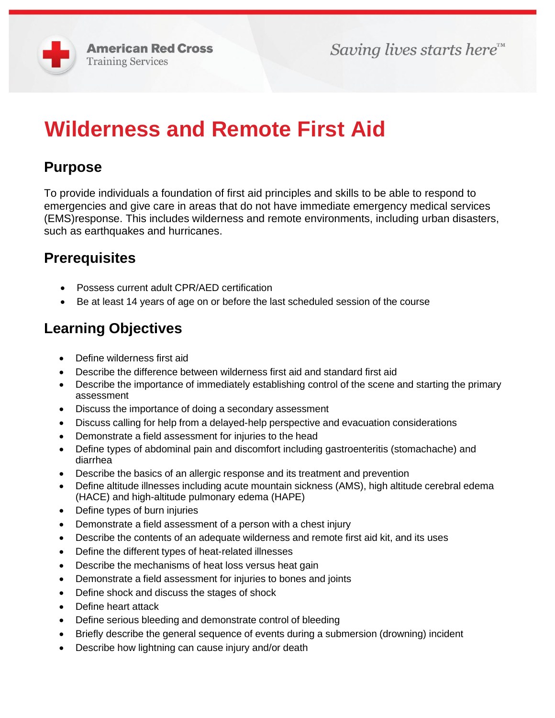# **Wilderness and Remote First Aid**

#### **Purpose**

To provide individuals a foundation of first aid principles and skills to be able to respond to emergencies and give care in areas that do not have immediate emergency medical services (EMS)response. This includes wilderness and remote environments, including urban disasters, such as earthquakes and hurricanes.

### **Prerequisites**

- Possess current adult CPR/AED certification
- Be at least 14 years of age on or before the last scheduled session of the course

# **Learning Objectives**

- Define wilderness first aid
- Describe the difference between wilderness first aid and standard first aid
- Describe the importance of immediately establishing control of the scene and starting the primary assessment
- Discuss the importance of doing a secondary assessment
- Discuss calling for help from a delayed-help perspective and evacuation considerations
- Demonstrate a field assessment for injuries to the head
- Define types of abdominal pain and discomfort including gastroenteritis (stomachache) and diarrhea
- Describe the basics of an allergic response and its treatment and prevention
- Define altitude illnesses including acute mountain sickness (AMS), high altitude cerebral edema (HACE) and high-altitude pulmonary edema (HAPE)
- Define types of burn injuries
- Demonstrate a field assessment of a person with a chest injury
- Describe the contents of an adequate wilderness and remote first aid kit, and its uses
- Define the different types of heat-related illnesses
- Describe the mechanisms of heat loss versus heat gain
- Demonstrate a field assessment for injuries to bones and joints
- Define shock and discuss the stages of shock
- Define heart attack
- Define serious bleeding and demonstrate control of bleeding
- Briefly describe the general sequence of events during a submersion (drowning) incident
- Describe how lightning can cause injury and/or death